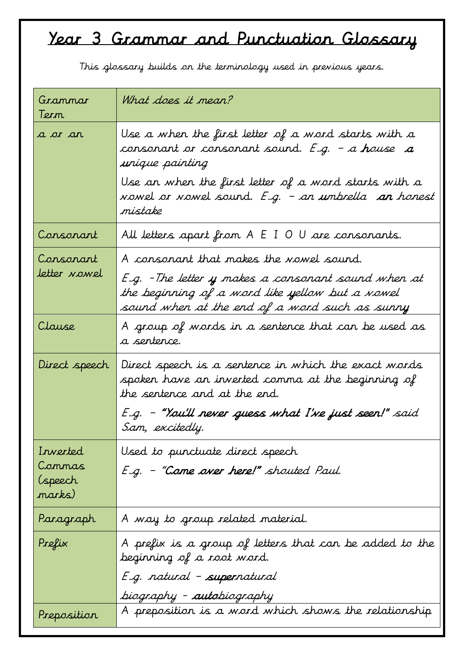## Year 3 Grammar and Punctuation Glossary

| Grammar<br>Tern                         | What does it mean?                                                                                                                                                                                 |
|-----------------------------------------|----------------------------------------------------------------------------------------------------------------------------------------------------------------------------------------------------|
| a or an                                 | Use a when the first letter of a word starts with a<br>consonant or consonant sound. E.g. – a house $a$<br>unique painting                                                                         |
|                                         | Use an when the first letter of a word starts with a<br>vowel or vowel sound. <i>E.g. – an umbrella <b>an</b> honest</i><br>mistake                                                                |
| Consonant                               | All letters apart from A E I O U are consonants.                                                                                                                                                   |
| Consonant<br>letter <i>nowel</i>        | A consonant that makes the vowel sound.<br>E.g. - The letter y makes a consonant sound when at<br>the beginning of a word like yellow but a vowel<br>sound when at the end of a word such as sunny |
| Clause                                  | A group of words in a sentence that can be used as<br>a serterce.                                                                                                                                  |
| Direct speech                           | Direct speech is a sentence in which the exact words<br>spoken have an inverted comma at the beginning of<br>the sentence and at the end.                                                          |
|                                         | E.g. – "You'll never guess what I've just seen!" said<br>Sam, excitedly.                                                                                                                           |
| Inverted<br>Commas<br>(speech<br>marks) | Used to punctuate direct speech<br>E.g. - "Come over here!" shouted Paul.                                                                                                                          |
| Paragraph                               | A way to group related material.                                                                                                                                                                   |
| Prefix                                  | A prefix is a group of letters that can be added to the<br>beginning of a root word.<br>E.g. natural - supernatural<br>biography - autobiography                                                   |
| Preposition                             | A preposition is a word which shows the relationship                                                                                                                                               |

This glossary builds on the terminology used in previous years.